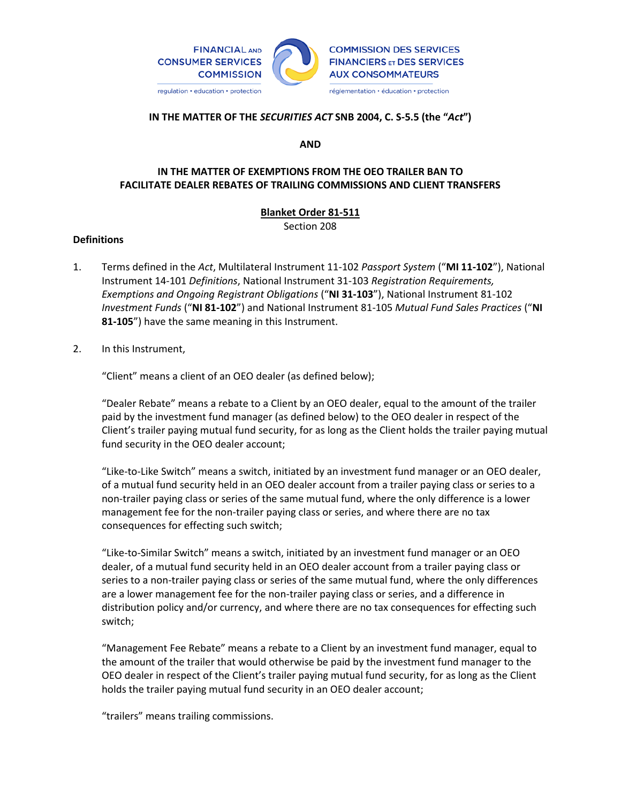

#### **IN THE MATTER OF THE** *SECURITIES ACT* **SNB 2004, C. S-5.5 (the "***Act***")**

**AND**

### **IN THE MATTER OF EXEMPTIONS FROM THE OEO TRAILER BAN TO FACILITATE DEALER REBATES OF TRAILING COMMISSIONS AND CLIENT TRANSFERS**

# **Blanket Order 81-511**

Section 208

### **Definitions**

- 1. Terms defined in the *Act*, Multilateral Instrument 11-102 *Passport System* ("**MI 11-102**"), National Instrument 14-101 *Definitions*, National Instrument 31-103 *Registration Requirements, Exemptions and Ongoing Registrant Obligations* ("**NI 31-103**"), National Instrument 81-102 *Investment Funds* ("**NI 81-102**") and National Instrument 81-105 *Mutual Fund Sales Practices* ("**NI 81-105**") have the same meaning in this Instrument.
- 2. In this Instrument,

"Client" means a client of an OEO dealer (as defined below);

"Dealer Rebate" means a rebate to a Client by an OEO dealer, equal to the amount of the trailer paid by the investment fund manager (as defined below) to the OEO dealer in respect of the Client's trailer paying mutual fund security, for as long as the Client holds the trailer paying mutual fund security in the OEO dealer account;

"Like-to-Like Switch" means a switch, initiated by an investment fund manager or an OEO dealer, of a mutual fund security held in an OEO dealer account from a trailer paying class or series to a non-trailer paying class or series of the same mutual fund, where the only difference is a lower management fee for the non-trailer paying class or series, and where there are no tax consequences for effecting such switch;

"Like-to-Similar Switch" means a switch, initiated by an investment fund manager or an OEO dealer, of a mutual fund security held in an OEO dealer account from a trailer paying class or series to a non-trailer paying class or series of the same mutual fund, where the only differences are a lower management fee for the non-trailer paying class or series, and a difference in distribution policy and/or currency, and where there are no tax consequences for effecting such switch;

"Management Fee Rebate" means a rebate to a Client by an investment fund manager, equal to the amount of the trailer that would otherwise be paid by the investment fund manager to the OEO dealer in respect of the Client's trailer paying mutual fund security, for as long as the Client holds the trailer paying mutual fund security in an OEO dealer account;

"trailers" means trailing commissions.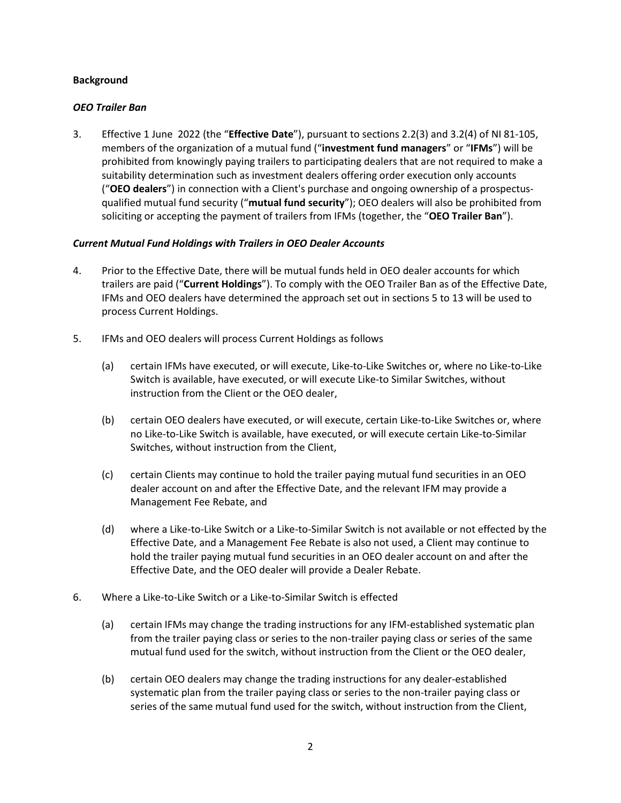#### **Background**

#### *OEO Trailer Ban*

3. Effective 1 June 2022 (the "**Effective Date**"), pursuant to sections 2.2(3) and 3.2(4) of NI 81-105, members of the organization of a mutual fund ("**investment fund managers**" or "**IFMs**") will be prohibited from knowingly paying trailers to participating dealers that are not required to make a suitability determination such as investment dealers offering order execution only accounts ("**OEO dealers**") in connection with a Client's purchase and ongoing ownership of a prospectusqualified mutual fund security ("**mutual fund security**"); OEO dealers will also be prohibited from soliciting or accepting the payment of trailers from IFMs (together, the "**OEO Trailer Ban**").

#### *Current Mutual Fund Holdings with Trailers in OEO Dealer Accounts*

- 4. Prior to the Effective Date, there will be mutual funds held in OEO dealer accounts for which trailers are paid ("**Current Holdings**"). To comply with the OEO Trailer Ban as of the Effective Date, IFMs and OEO dealers have determined the approach set out in sections 5 to 13 will be used to process Current Holdings.
- 5. IFMs and OEO dealers will process Current Holdings as follows
	- (a) certain IFMs have executed, or will execute, Like-to-Like Switches or, where no Like-to-Like Switch is available, have executed, or will execute Like-to Similar Switches, without instruction from the Client or the OEO dealer,
	- (b) certain OEO dealers have executed, or will execute, certain Like-to-Like Switches or, where no Like-to-Like Switch is available, have executed, or will execute certain Like-to-Similar Switches, without instruction from the Client,
	- (c) certain Clients may continue to hold the trailer paying mutual fund securities in an OEO dealer account on and after the Effective Date, and the relevant IFM may provide a Management Fee Rebate, and
	- (d) where a Like-to-Like Switch or a Like-to-Similar Switch is not available or not effected by the Effective Date, and a Management Fee Rebate is also not used, a Client may continue to hold the trailer paying mutual fund securities in an OEO dealer account on and after the Effective Date, and the OEO dealer will provide a Dealer Rebate.
- 6. Where a Like-to-Like Switch or a Like-to-Similar Switch is effected
	- (a) certain IFMs may change the trading instructions for any IFM-established systematic plan from the trailer paying class or series to the non-trailer paying class or series of the same mutual fund used for the switch, without instruction from the Client or the OEO dealer,
	- (b) certain OEO dealers may change the trading instructions for any dealer-established systematic plan from the trailer paying class or series to the non-trailer paying class or series of the same mutual fund used for the switch, without instruction from the Client,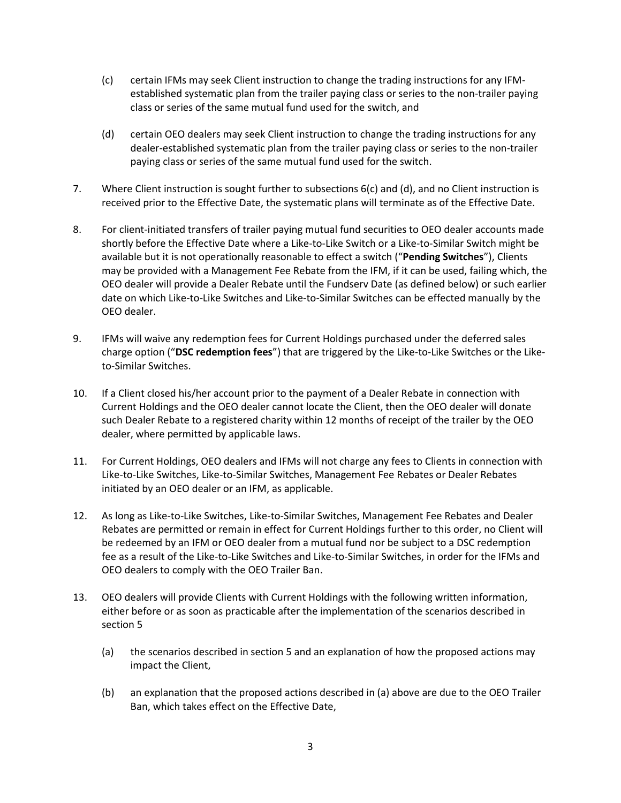- (c) certain IFMs may seek Client instruction to change the trading instructions for any IFMestablished systematic plan from the trailer paying class or series to the non-trailer paying class or series of the same mutual fund used for the switch, and
- (d) certain OEO dealers may seek Client instruction to change the trading instructions for any dealer-established systematic plan from the trailer paying class or series to the non-trailer paying class or series of the same mutual fund used for the switch.
- 7. Where Client instruction is sought further to subsections 6(c) and (d), and no Client instruction is received prior to the Effective Date, the systematic plans will terminate as of the Effective Date.
- 8. For client-initiated transfers of trailer paying mutual fund securities to OEO dealer accounts made shortly before the Effective Date where a Like-to-Like Switch or a Like-to-Similar Switch might be available but it is not operationally reasonable to effect a switch ("**Pending Switches**"), Clients may be provided with a Management Fee Rebate from the IFM, if it can be used, failing which, the OEO dealer will provide a Dealer Rebate until the Fundserv Date (as defined below) or such earlier date on which Like-to-Like Switches and Like-to-Similar Switches can be effected manually by the OEO dealer.
- 9. IFMs will waive any redemption fees for Current Holdings purchased under the deferred sales charge option ("**DSC redemption fees**") that are triggered by the Like-to-Like Switches or the Liketo-Similar Switches.
- 10. If a Client closed his/her account prior to the payment of a Dealer Rebate in connection with Current Holdings and the OEO dealer cannot locate the Client, then the OEO dealer will donate such Dealer Rebate to a registered charity within 12 months of receipt of the trailer by the OEO dealer, where permitted by applicable laws.
- 11. For Current Holdings, OEO dealers and IFMs will not charge any fees to Clients in connection with Like-to-Like Switches, Like-to-Similar Switches, Management Fee Rebates or Dealer Rebates initiated by an OEO dealer or an IFM, as applicable.
- 12. As long as Like-to-Like Switches, Like-to-Similar Switches, Management Fee Rebates and Dealer Rebates are permitted or remain in effect for Current Holdings further to this order, no Client will be redeemed by an IFM or OEO dealer from a mutual fund nor be subject to a DSC redemption fee as a result of the Like-to-Like Switches and Like-to-Similar Switches, in order for the IFMs and OEO dealers to comply with the OEO Trailer Ban.
- 13. OEO dealers will provide Clients with Current Holdings with the following written information, either before or as soon as practicable after the implementation of the scenarios described in section 5
	- (a) the scenarios described in section 5 and an explanation of how the proposed actions may impact the Client,
	- (b) an explanation that the proposed actions described in (a) above are due to the OEO Trailer Ban, which takes effect on the Effective Date,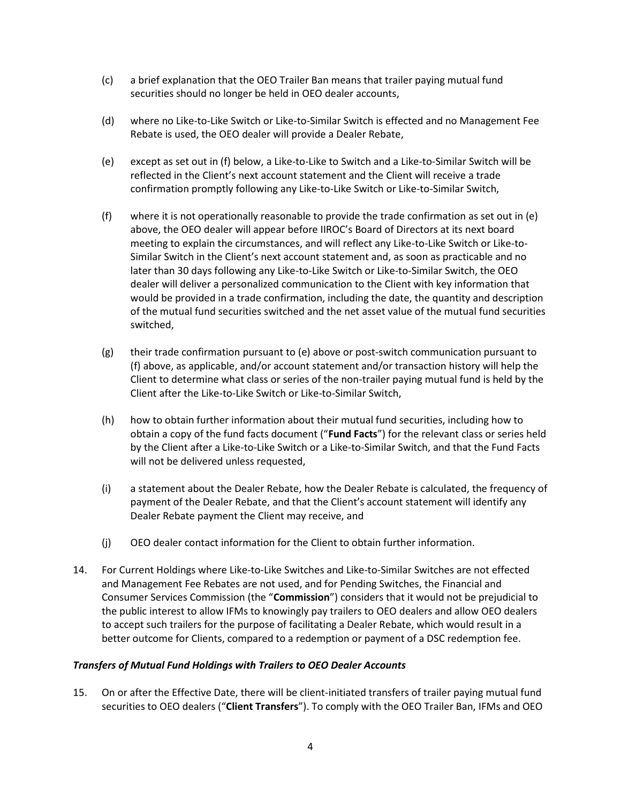- (c) a brief explanation that the OEO Trailer Ban means that trailer paying mutual fund securities should no longer be held in OEO dealer accounts,
- (d) where no Like-to-Like Switch or Like-to-Similar Switch is effected and no Management Fee Rebate is used, the OEO dealer will provide a Dealer Rebate,
- (e) except as set out in (f) below, a Like-to-Like to Switch and a Like-to-Similar Switch will be reflected in the Client's next account statement and the Client will receive a trade confirmation promptly following any Like-to-Like Switch or Like-to-Similar Switch,
- (f) where it is not operationally reasonable to provide the trade confirmation as set out in (e) above, the OEO dealer will appear before IIROC's Board of Directors at its next board meeting to explain the circumstances, and will reflect any Like-to-Like Switch or Like-to-Similar Switch in the Client's next account statement and, as soon as practicable and no later than 30 days following any Like-to-Like Switch or Like-to-Similar Switch, the OEO dealer will deliver a personalized communication to the Client with key information that would be provided in a trade confirmation, including the date, the quantity and description of the mutual fund securities switched and the net asset value of the mutual fund securities switched,
- (g) their trade confirmation pursuant to (e) above or post-switch communication pursuant to (f) above, as applicable, and/or account statement and/or transaction history will help the Client to determine what class or series of the non-trailer paying mutual fund is held by the Client after the Like-to-Like Switch or Like-to-Similar Switch,
- (h) how to obtain further information about their mutual fund securities, including how to obtain a copy of the fund facts document ("**Fund Facts**") for the relevant class or series held by the Client after a Like-to-Like Switch or a Like-to-Similar Switch, and that the Fund Facts will not be delivered unless requested,
- (i) a statement about the Dealer Rebate, how the Dealer Rebate is calculated, the frequency of payment of the Dealer Rebate, and that the Client's account statement will identify any Dealer Rebate payment the Client may receive, and
- (j) OEO dealer contact information for the Client to obtain further information.
- 14. For Current Holdings where Like-to-Like Switches and Like-to-Similar Switches are not effected and Management Fee Rebates are not used, and for Pending Switches, the Financial and Consumer Services Commission (the "**Commission**") considers that it would not be prejudicial to the public interest to allow IFMs to knowingly pay trailers to OEO dealers and allow OEO dealers to accept such trailers for the purpose of facilitating a Dealer Rebate, which would result in a better outcome for Clients, compared to a redemption or payment of a DSC redemption fee.

### *Transfers of Mutual Fund Holdings with Trailers to OEO Dealer Accounts*

15. On or after the Effective Date, there will be client-initiated transfers of trailer paying mutual fund securities to OEO dealers ("**Client Transfers**"). To comply with the OEO Trailer Ban, IFMs and OEO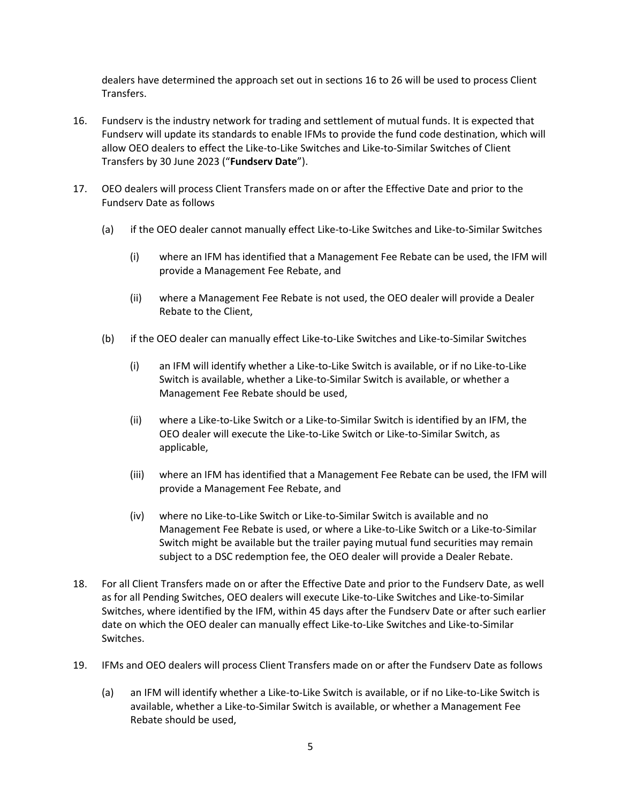dealers have determined the approach set out in sections 16 to 26 will be used to process Client Transfers.

- 16. Fundserv is the industry network for trading and settlement of mutual funds. It is expected that Fundserv will update its standards to enable IFMs to provide the fund code destination, which will allow OEO dealers to effect the Like-to-Like Switches and Like-to-Similar Switches of Client Transfers by 30 June 2023 ("**Fundserv Date**").
- 17. OEO dealers will process Client Transfers made on or after the Effective Date and prior to the Fundserv Date as follows
	- (a) if the OEO dealer cannot manually effect Like-to-Like Switches and Like-to-Similar Switches
		- (i) where an IFM has identified that a Management Fee Rebate can be used, the IFM will provide a Management Fee Rebate, and
		- (ii) where a Management Fee Rebate is not used, the OEO dealer will provide a Dealer Rebate to the Client,
	- (b) if the OEO dealer can manually effect Like-to-Like Switches and Like-to-Similar Switches
		- (i) an IFM will identify whether a Like-to-Like Switch is available, or if no Like-to-Like Switch is available, whether a Like-to-Similar Switch is available, or whether a Management Fee Rebate should be used,
		- (ii) where a Like-to-Like Switch or a Like-to-Similar Switch is identified by an IFM, the OEO dealer will execute the Like-to-Like Switch or Like-to-Similar Switch, as applicable,
		- (iii) where an IFM has identified that a Management Fee Rebate can be used, the IFM will provide a Management Fee Rebate, and
		- (iv) where no Like-to-Like Switch or Like-to-Similar Switch is available and no Management Fee Rebate is used, or where a Like-to-Like Switch or a Like-to-Similar Switch might be available but the trailer paying mutual fund securities may remain subject to a DSC redemption fee, the OEO dealer will provide a Dealer Rebate.
- 18. For all Client Transfers made on or after the Effective Date and prior to the Fundserv Date, as well as for all Pending Switches, OEO dealers will execute Like-to-Like Switches and Like-to-Similar Switches, where identified by the IFM, within 45 days after the Fundserv Date or after such earlier date on which the OEO dealer can manually effect Like-to-Like Switches and Like-to-Similar Switches.
- 19. IFMs and OEO dealers will process Client Transfers made on or after the Fundserv Date as follows
	- (a) an IFM will identify whether a Like-to-Like Switch is available, or if no Like-to-Like Switch is available, whether a Like-to-Similar Switch is available, or whether a Management Fee Rebate should be used,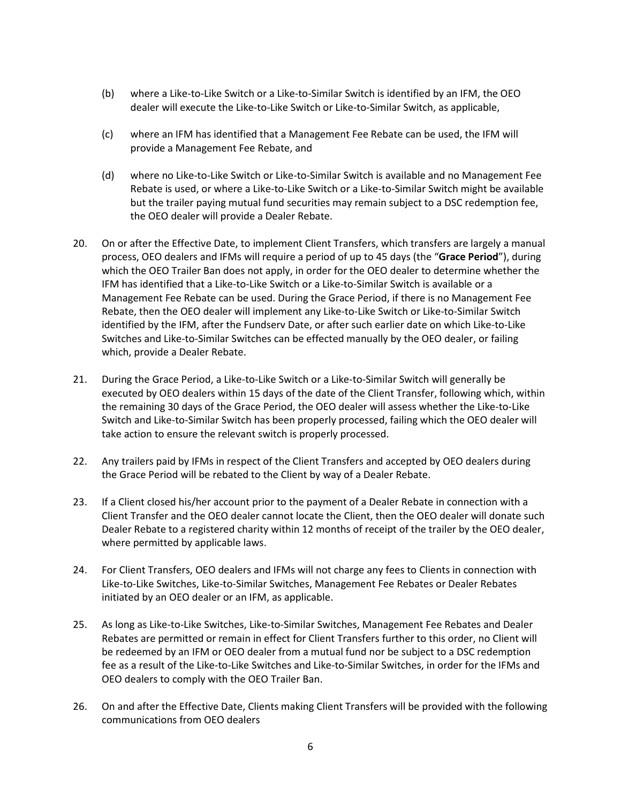- (b) where a Like-to-Like Switch or a Like-to-Similar Switch is identified by an IFM, the OEO dealer will execute the Like-to-Like Switch or Like-to-Similar Switch, as applicable,
- (c) where an IFM has identified that a Management Fee Rebate can be used, the IFM will provide a Management Fee Rebate, and
- (d) where no Like-to-Like Switch or Like-to-Similar Switch is available and no Management Fee Rebate is used, or where a Like-to-Like Switch or a Like-to-Similar Switch might be available but the trailer paying mutual fund securities may remain subject to a DSC redemption fee, the OEO dealer will provide a Dealer Rebate.
- 20. On or after the Effective Date, to implement Client Transfers, which transfers are largely a manual process, OEO dealers and IFMs will require a period of up to 45 days (the "**Grace Period**"), during which the OEO Trailer Ban does not apply, in order for the OEO dealer to determine whether the IFM has identified that a Like-to-Like Switch or a Like-to-Similar Switch is available or a Management Fee Rebate can be used. During the Grace Period, if there is no Management Fee Rebate, then the OEO dealer will implement any Like-to-Like Switch or Like-to-Similar Switch identified by the IFM, after the Fundserv Date, or after such earlier date on which Like-to-Like Switches and Like-to-Similar Switches can be effected manually by the OEO dealer, or failing which, provide a Dealer Rebate.
- 21. During the Grace Period, a Like-to-Like Switch or a Like-to-Similar Switch will generally be executed by OEO dealers within 15 days of the date of the Client Transfer, following which, within the remaining 30 days of the Grace Period, the OEO dealer will assess whether the Like-to-Like Switch and Like-to-Similar Switch has been properly processed, failing which the OEO dealer will take action to ensure the relevant switch is properly processed.
- 22. Any trailers paid by IFMs in respect of the Client Transfers and accepted by OEO dealers during the Grace Period will be rebated to the Client by way of a Dealer Rebate.
- 23. If a Client closed his/her account prior to the payment of a Dealer Rebate in connection with a Client Transfer and the OEO dealer cannot locate the Client, then the OEO dealer will donate such Dealer Rebate to a registered charity within 12 months of receipt of the trailer by the OEO dealer, where permitted by applicable laws.
- 24. For Client Transfers, OEO dealers and IFMs will not charge any fees to Clients in connection with Like-to-Like Switches, Like-to-Similar Switches, Management Fee Rebates or Dealer Rebates initiated by an OEO dealer or an IFM, as applicable.
- 25. As long as Like-to-Like Switches, Like-to-Similar Switches, Management Fee Rebates and Dealer Rebates are permitted or remain in effect for Client Transfers further to this order, no Client will be redeemed by an IFM or OEO dealer from a mutual fund nor be subject to a DSC redemption fee as a result of the Like-to-Like Switches and Like-to-Similar Switches, in order for the IFMs and OEO dealers to comply with the OEO Trailer Ban.
- 26. On and after the Effective Date, Clients making Client Transfers will be provided with the following communications from OEO dealers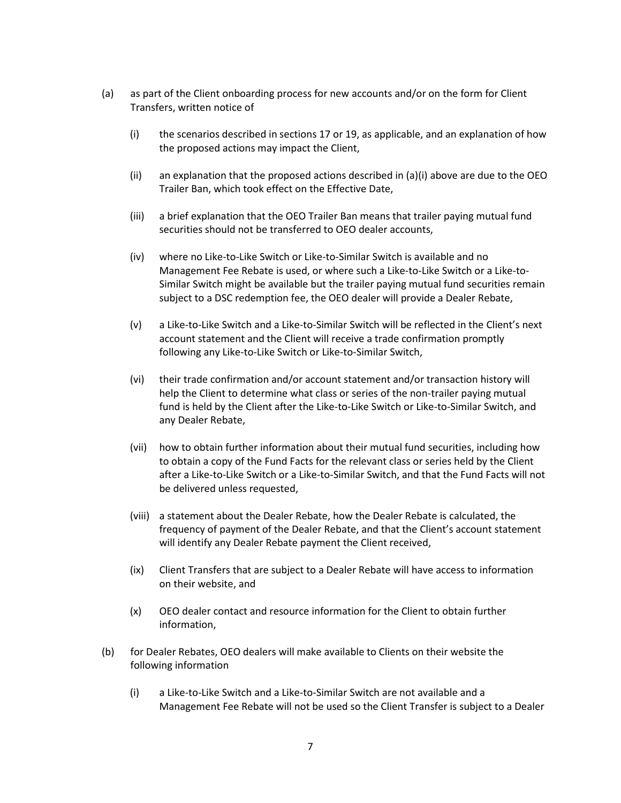- (a) as part of the Client onboarding process for new accounts and/or on the form for Client Transfers, written notice of
	- (i) the scenarios described in sections 17 or 19, as applicable, and an explanation of how the proposed actions may impact the Client,
	- (ii) an explanation that the proposed actions described in  $(a)(i)$  above are due to the OEO Trailer Ban, which took effect on the Effective Date,
	- (iii) a brief explanation that the OEO Trailer Ban means that trailer paying mutual fund securities should not be transferred to OEO dealer accounts,
	- (iv) where no Like-to-Like Switch or Like-to-Similar Switch is available and no Management Fee Rebate is used, or where such a Like-to-Like Switch or a Like-to-Similar Switch might be available but the trailer paying mutual fund securities remain subject to a DSC redemption fee, the OEO dealer will provide a Dealer Rebate,
	- (v) a Like-to-Like Switch and a Like-to-Similar Switch will be reflected in the Client's next account statement and the Client will receive a trade confirmation promptly following any Like-to-Like Switch or Like-to-Similar Switch,
	- (vi) their trade confirmation and/or account statement and/or transaction history will help the Client to determine what class or series of the non-trailer paying mutual fund is held by the Client after the Like-to-Like Switch or Like-to-Similar Switch, and any Dealer Rebate,
	- (vii) how to obtain further information about their mutual fund securities, including how to obtain a copy of the Fund Facts for the relevant class or series held by the Client after a Like-to-Like Switch or a Like-to-Similar Switch, and that the Fund Facts will not be delivered unless requested,
	- (viii) a statement about the Dealer Rebate, how the Dealer Rebate is calculated, the frequency of payment of the Dealer Rebate, and that the Client's account statement will identify any Dealer Rebate payment the Client received,
	- (ix) Client Transfers that are subject to a Dealer Rebate will have access to information on their website, and
	- (x) OEO dealer contact and resource information for the Client to obtain further information,
- (b) for Dealer Rebates, OEO dealers will make available to Clients on their website the following information
	- (i) a Like-to-Like Switch and a Like-to-Similar Switch are not available and a Management Fee Rebate will not be used so the Client Transfer is subject to a Dealer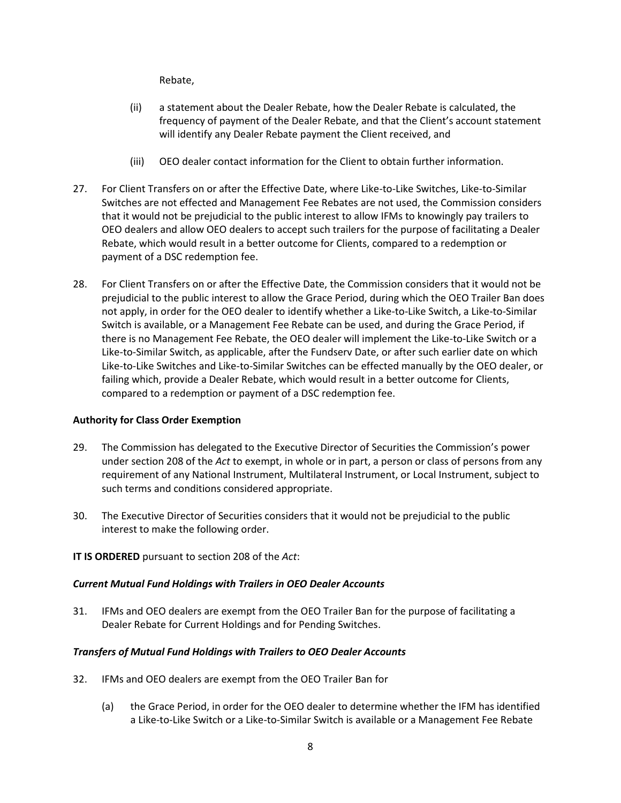Rebate,

- (ii) a statement about the Dealer Rebate, how the Dealer Rebate is calculated, the frequency of payment of the Dealer Rebate, and that the Client's account statement will identify any Dealer Rebate payment the Client received, and
- (iii) OEO dealer contact information for the Client to obtain further information.
- 27. For Client Transfers on or after the Effective Date, where Like-to-Like Switches, Like-to-Similar Switches are not effected and Management Fee Rebates are not used, the Commission considers that it would not be prejudicial to the public interest to allow IFMs to knowingly pay trailers to OEO dealers and allow OEO dealers to accept such trailers for the purpose of facilitating a Dealer Rebate, which would result in a better outcome for Clients, compared to a redemption or payment of a DSC redemption fee.
- 28. For Client Transfers on or after the Effective Date, the Commission considers that it would not be prejudicial to the public interest to allow the Grace Period, during which the OEO Trailer Ban does not apply, in order for the OEO dealer to identify whether a Like-to-Like Switch, a Like-to-Similar Switch is available, or a Management Fee Rebate can be used, and during the Grace Period, if there is no Management Fee Rebate, the OEO dealer will implement the Like-to-Like Switch or a Like-to-Similar Switch, as applicable, after the Fundserv Date, or after such earlier date on which Like-to-Like Switches and Like-to-Similar Switches can be effected manually by the OEO dealer, or failing which, provide a Dealer Rebate, which would result in a better outcome for Clients, compared to a redemption or payment of a DSC redemption fee.

# **Authority for Class Order Exemption**

- 29. The Commission has delegated to the Executive Director of Securities the Commission's power under section 208 of the *Act* to exempt, in whole or in part, a person or class of persons from any requirement of any National Instrument, Multilateral Instrument, or Local Instrument, subject to such terms and conditions considered appropriate.
- 30. The Executive Director of Securities considers that it would not be prejudicial to the public interest to make the following order.

# **IT IS ORDERED** pursuant to section 208 of the *Act*:

# *Current Mutual Fund Holdings with Trailers in OEO Dealer Accounts*

31. IFMs and OEO dealers are exempt from the OEO Trailer Ban for the purpose of facilitating a Dealer Rebate for Current Holdings and for Pending Switches.

# *Transfers of Mutual Fund Holdings with Trailers to OEO Dealer Accounts*

- 32. IFMs and OEO dealers are exempt from the OEO Trailer Ban for
	- (a) the Grace Period, in order for the OEO dealer to determine whether the IFM has identified a Like-to-Like Switch or a Like-to-Similar Switch is available or a Management Fee Rebate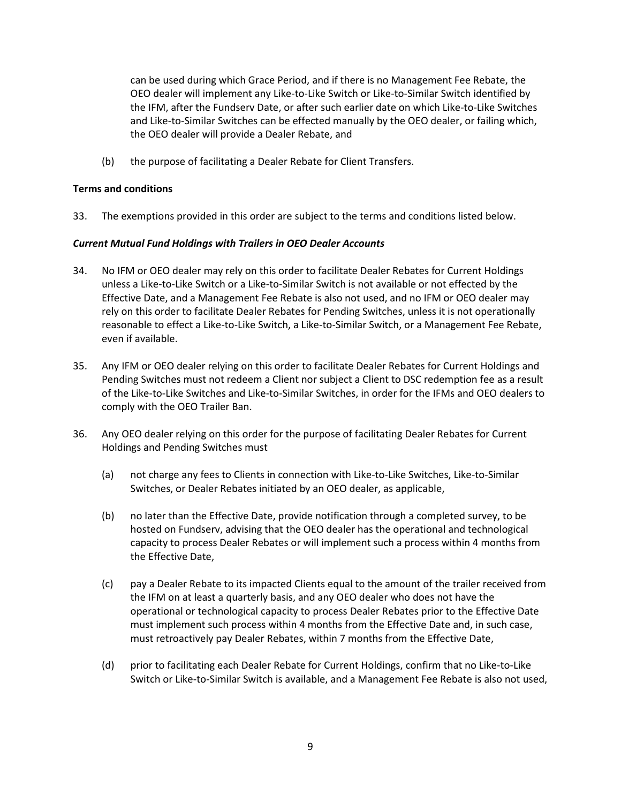can be used during which Grace Period, and if there is no Management Fee Rebate, the OEO dealer will implement any Like-to-Like Switch or Like-to-Similar Switch identified by the IFM, after the Fundserv Date, or after such earlier date on which Like-to-Like Switches and Like-to-Similar Switches can be effected manually by the OEO dealer, or failing which, the OEO dealer will provide a Dealer Rebate, and

(b) the purpose of facilitating a Dealer Rebate for Client Transfers.

### **Terms and conditions**

33. The exemptions provided in this order are subject to the terms and conditions listed below.

### *Current Mutual Fund Holdings with Trailers in OEO Dealer Accounts*

- 34. No IFM or OEO dealer may rely on this order to facilitate Dealer Rebates for Current Holdings unless a Like-to-Like Switch or a Like-to-Similar Switch is not available or not effected by the Effective Date, and a Management Fee Rebate is also not used, and no IFM or OEO dealer may rely on this order to facilitate Dealer Rebates for Pending Switches, unless it is not operationally reasonable to effect a Like-to-Like Switch, a Like-to-Similar Switch, or a Management Fee Rebate, even if available.
- 35. Any IFM or OEO dealer relying on this order to facilitate Dealer Rebates for Current Holdings and Pending Switches must not redeem a Client nor subject a Client to DSC redemption fee as a result of the Like-to-Like Switches and Like-to-Similar Switches, in order for the IFMs and OEO dealers to comply with the OEO Trailer Ban.
- 36. Any OEO dealer relying on this order for the purpose of facilitating Dealer Rebates for Current Holdings and Pending Switches must
	- (a) not charge any fees to Clients in connection with Like-to-Like Switches, Like-to-Similar Switches, or Dealer Rebates initiated by an OEO dealer, as applicable,
	- (b) no later than the Effective Date, provide notification through a completed survey, to be hosted on Fundserv, advising that the OEO dealer has the operational and technological capacity to process Dealer Rebates or will implement such a process within 4 months from the Effective Date,
	- (c) pay a Dealer Rebate to its impacted Clients equal to the amount of the trailer received from the IFM on at least a quarterly basis, and any OEO dealer who does not have the operational or technological capacity to process Dealer Rebates prior to the Effective Date must implement such process within 4 months from the Effective Date and, in such case, must retroactively pay Dealer Rebates, within 7 months from the Effective Date,
	- (d) prior to facilitating each Dealer Rebate for Current Holdings, confirm that no Like-to-Like Switch or Like-to-Similar Switch is available, and a Management Fee Rebate is also not used,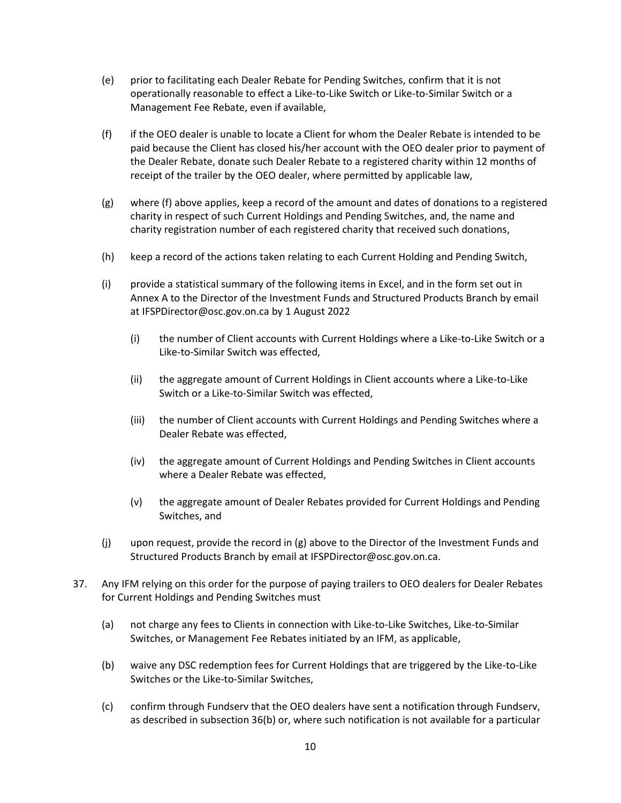- (e) prior to facilitating each Dealer Rebate for Pending Switches, confirm that it is not operationally reasonable to effect a Like-to-Like Switch or Like-to-Similar Switch or a Management Fee Rebate, even if available,
- (f) if the OEO dealer is unable to locate a Client for whom the Dealer Rebate is intended to be paid because the Client has closed his/her account with the OEO dealer prior to payment of the Dealer Rebate, donate such Dealer Rebate to a registered charity within 12 months of receipt of the trailer by the OEO dealer, where permitted by applicable law,
- (g) where (f) above applies, keep a record of the amount and dates of donations to a registered charity in respect of such Current Holdings and Pending Switches, and, the name and charity registration number of each registered charity that received such donations,
- (h) keep a record of the actions taken relating to each Current Holding and Pending Switch,
- (i) provide a statistical summary of the following items in Excel, and in the form set out in Annex A to the Director of the Investment Funds and Structured Products Branch by email at IFSPDirector@osc.gov.on.ca by 1 August 2022
	- (i) the number of Client accounts with Current Holdings where a Like-to-Like Switch or a Like-to-Similar Switch was effected,
	- (ii) the aggregate amount of Current Holdings in Client accounts where a Like-to-Like Switch or a Like-to-Similar Switch was effected,
	- (iii) the number of Client accounts with Current Holdings and Pending Switches where a Dealer Rebate was effected,
	- (iv) the aggregate amount of Current Holdings and Pending Switches in Client accounts where a Dealer Rebate was effected,
	- (v) the aggregate amount of Dealer Rebates provided for Current Holdings and Pending Switches, and
- (j) upon request, provide the record in (g) above to the Director of the Investment Funds and Structured Products Branch by email at IFSPDirector@osc.gov.on.ca.
- 37. Any IFM relying on this order for the purpose of paying trailers to OEO dealers for Dealer Rebates for Current Holdings and Pending Switches must
	- (a) not charge any fees to Clients in connection with Like-to-Like Switches, Like-to-Similar Switches, or Management Fee Rebates initiated by an IFM, as applicable,
	- (b) waive any DSC redemption fees for Current Holdings that are triggered by the Like-to-Like Switches or the Like-to-Similar Switches,
	- (c) confirm through Fundserv that the OEO dealers have sent a notification through Fundserv, as described in subsection 36(b) or, where such notification is not available for a particular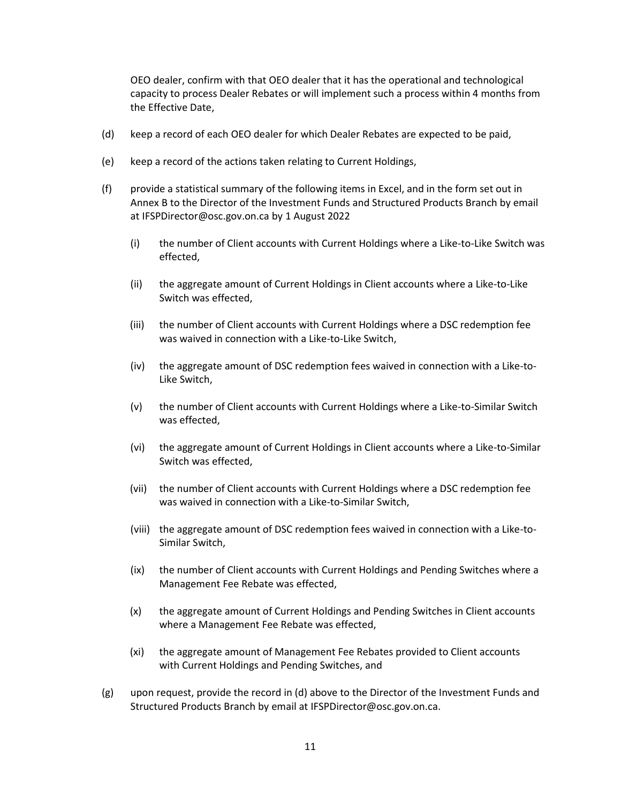OEO dealer, confirm with that OEO dealer that it has the operational and technological capacity to process Dealer Rebates or will implement such a process within 4 months from the Effective Date,

- (d) keep a record of each OEO dealer for which Dealer Rebates are expected to be paid,
- (e) keep a record of the actions taken relating to Current Holdings,
- (f) provide a statistical summary of the following items in Excel, and in the form set out in Annex B to the Director of the Investment Funds and Structured Products Branch by email at IFSPDirector@osc.gov.on.ca by 1 August 2022
	- (i) the number of Client accounts with Current Holdings where a Like-to-Like Switch was effected,
	- (ii) the aggregate amount of Current Holdings in Client accounts where a Like-to-Like Switch was effected,
	- (iii) the number of Client accounts with Current Holdings where a DSC redemption fee was waived in connection with a Like-to-Like Switch,
	- (iv) the aggregate amount of DSC redemption fees waived in connection with a Like-to-Like Switch,
	- (v) the number of Client accounts with Current Holdings where a Like-to-Similar Switch was effected,
	- (vi) the aggregate amount of Current Holdings in Client accounts where a Like-to-Similar Switch was effected,
	- (vii) the number of Client accounts with Current Holdings where a DSC redemption fee was waived in connection with a Like-to-Similar Switch,
	- (viii) the aggregate amount of DSC redemption fees waived in connection with a Like-to-Similar Switch,
	- (ix) the number of Client accounts with Current Holdings and Pending Switches where a Management Fee Rebate was effected,
	- (x) the aggregate amount of Current Holdings and Pending Switches in Client accounts where a Management Fee Rebate was effected,
	- (xi) the aggregate amount of Management Fee Rebates provided to Client accounts with Current Holdings and Pending Switches, and
- (g) upon request, provide the record in (d) above to the Director of the Investment Funds and Structured Products Branch by email at IFSPDirector@osc.gov.on.ca.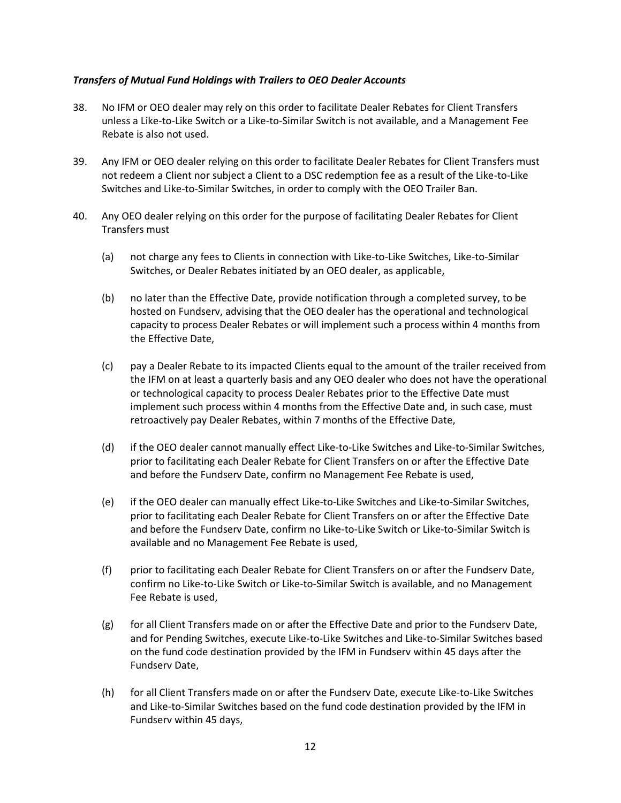### *Transfers of Mutual Fund Holdings with Trailers to OEO Dealer Accounts*

- 38. No IFM or OEO dealer may rely on this order to facilitate Dealer Rebates for Client Transfers unless a Like-to-Like Switch or a Like-to-Similar Switch is not available, and a Management Fee Rebate is also not used.
- 39. Any IFM or OEO dealer relying on this order to facilitate Dealer Rebates for Client Transfers must not redeem a Client nor subject a Client to a DSC redemption fee as a result of the Like-to-Like Switches and Like-to-Similar Switches, in order to comply with the OEO Trailer Ban.
- 40. Any OEO dealer relying on this order for the purpose of facilitating Dealer Rebates for Client Transfers must
	- (a) not charge any fees to Clients in connection with Like-to-Like Switches, Like-to-Similar Switches, or Dealer Rebates initiated by an OEO dealer, as applicable,
	- (b) no later than the Effective Date, provide notification through a completed survey, to be hosted on Fundserv, advising that the OEO dealer has the operational and technological capacity to process Dealer Rebates or will implement such a process within 4 months from the Effective Date,
	- (c) pay a Dealer Rebate to its impacted Clients equal to the amount of the trailer received from the IFM on at least a quarterly basis and any OEO dealer who does not have the operational or technological capacity to process Dealer Rebates prior to the Effective Date must implement such process within 4 months from the Effective Date and, in such case, must retroactively pay Dealer Rebates, within 7 months of the Effective Date,
	- (d) if the OEO dealer cannot manually effect Like-to-Like Switches and Like-to-Similar Switches, prior to facilitating each Dealer Rebate for Client Transfers on or after the Effective Date and before the Fundserv Date, confirm no Management Fee Rebate is used,
	- (e) if the OEO dealer can manually effect Like-to-Like Switches and Like-to-Similar Switches, prior to facilitating each Dealer Rebate for Client Transfers on or after the Effective Date and before the Fundserv Date, confirm no Like-to-Like Switch or Like-to-Similar Switch is available and no Management Fee Rebate is used,
	- (f) prior to facilitating each Dealer Rebate for Client Transfers on or after the Fundserv Date, confirm no Like-to-Like Switch or Like-to-Similar Switch is available, and no Management Fee Rebate is used,
	- (g) for all Client Transfers made on or after the Effective Date and prior to the Fundserv Date, and for Pending Switches, execute Like-to-Like Switches and Like-to-Similar Switches based on the fund code destination provided by the IFM in Fundserv within 45 days after the Fundserv Date,
	- (h) for all Client Transfers made on or after the Fundserv Date, execute Like-to-Like Switches and Like-to-Similar Switches based on the fund code destination provided by the IFM in Fundserv within 45 days,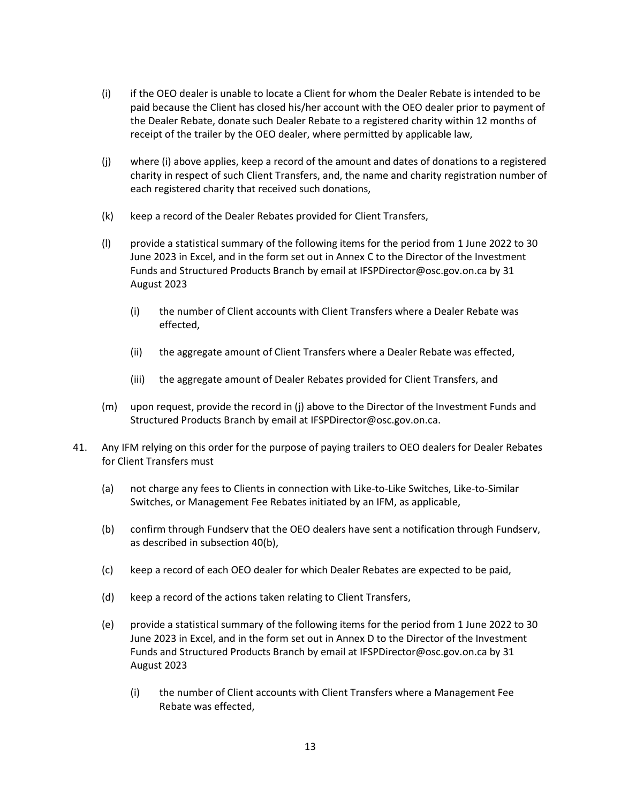- (i) if the OEO dealer is unable to locate a Client for whom the Dealer Rebate is intended to be paid because the Client has closed his/her account with the OEO dealer prior to payment of the Dealer Rebate, donate such Dealer Rebate to a registered charity within 12 months of receipt of the trailer by the OEO dealer, where permitted by applicable law,
- (j) where (i) above applies, keep a record of the amount and dates of donations to a registered charity in respect of such Client Transfers, and, the name and charity registration number of each registered charity that received such donations,
- (k) keep a record of the Dealer Rebates provided for Client Transfers,
- (l) provide a statistical summary of the following items for the period from 1 June 2022 to 30 June 2023 in Excel, and in the form set out in Annex C to the Director of the Investment Funds and Structured Products Branch by email at IFSPDirector@osc.gov.on.ca by 31 August 2023
	- (i) the number of Client accounts with Client Transfers where a Dealer Rebate was effected,
	- (ii) the aggregate amount of Client Transfers where a Dealer Rebate was effected,
	- (iii) the aggregate amount of Dealer Rebates provided for Client Transfers, and
- (m) upon request, provide the record in (j) above to the Director of the Investment Funds and Structured Products Branch by email at IFSPDirector@osc.gov.on.ca.
- 41. Any IFM relying on this order for the purpose of paying trailers to OEO dealers for Dealer Rebates for Client Transfers must
	- (a) not charge any fees to Clients in connection with Like-to-Like Switches, Like-to-Similar Switches, or Management Fee Rebates initiated by an IFM, as applicable,
	- (b) confirm through Fundserv that the OEO dealers have sent a notification through Fundserv, as described in subsection 40(b),
	- (c) keep a record of each OEO dealer for which Dealer Rebates are expected to be paid,
	- (d) keep a record of the actions taken relating to Client Transfers,
	- (e) provide a statistical summary of the following items for the period from 1 June 2022 to 30 June 2023 in Excel, and in the form set out in Annex D to the Director of the Investment Funds and Structured Products Branch by email at IFSPDirector@osc.gov.on.ca by 31 August 2023
		- (i) the number of Client accounts with Client Transfers where a Management Fee Rebate was effected,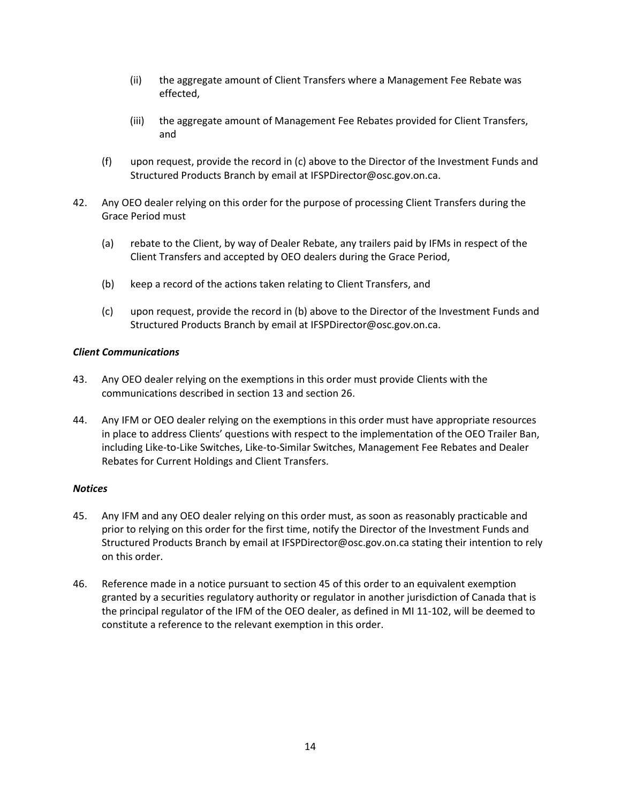- (ii) the aggregate amount of Client Transfers where a Management Fee Rebate was effected,
- (iii) the aggregate amount of Management Fee Rebates provided for Client Transfers, and
- (f) upon request, provide the record in (c) above to the Director of the Investment Funds and Structured Products Branch by email at IFSPDirector@osc.gov.on.ca.
- 42. Any OEO dealer relying on this order for the purpose of processing Client Transfers during the Grace Period must
	- (a) rebate to the Client, by way of Dealer Rebate, any trailers paid by IFMs in respect of the Client Transfers and accepted by OEO dealers during the Grace Period,
	- (b) keep a record of the actions taken relating to Client Transfers, and
	- (c) upon request, provide the record in (b) above to the Director of the Investment Funds and Structured Products Branch by email at IFSPDirector@osc.gov.on.ca.

#### *Client Communications*

- 43. Any OEO dealer relying on the exemptions in this order must provide Clients with the communications described in section 13 and section 26.
- 44. Any IFM or OEO dealer relying on the exemptions in this order must have appropriate resources in place to address Clients' questions with respect to the implementation of the OEO Trailer Ban, including Like-to-Like Switches, Like-to-Similar Switches, Management Fee Rebates and Dealer Rebates for Current Holdings and Client Transfers.

#### *Notices*

- 45. Any IFM and any OEO dealer relying on this order must, as soon as reasonably practicable and prior to relying on this order for the first time, notify the Director of the Investment Funds and Structured Products Branch by email at IFSPDirector@osc.gov.on.ca stating their intention to rely on this order.
- 46. Reference made in a notice pursuant to section 45 of this order to an equivalent exemption granted by a securities regulatory authority or regulator in another jurisdiction of Canada that is the principal regulator of the IFM of the OEO dealer, as defined in MI 11-102, will be deemed to constitute a reference to the relevant exemption in this order.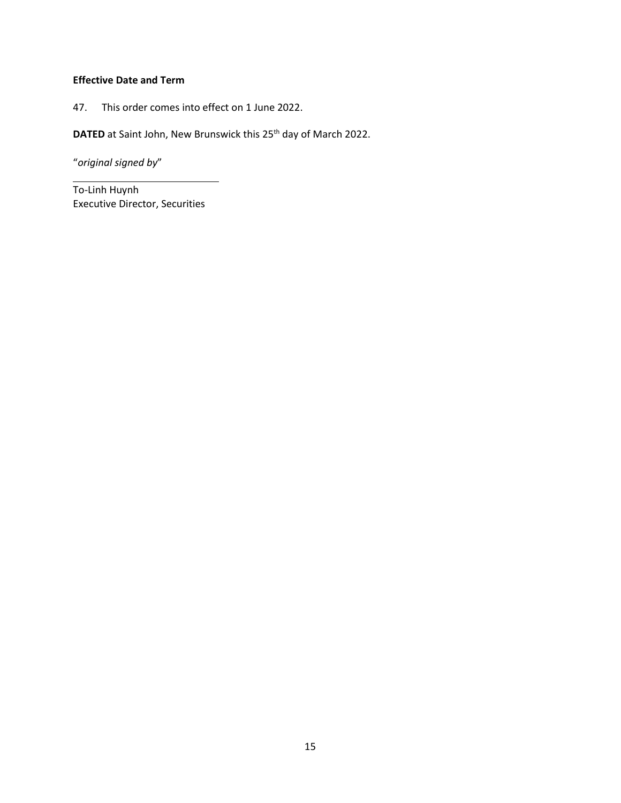# **Effective Date and Term**

47. This order comes into effect on 1 June 2022.

**DATED** at Saint John, New Brunswick this 25<sup>th</sup> day of March 2022.

"*original signed by*"

To-Linh Huynh Executive Director, Securities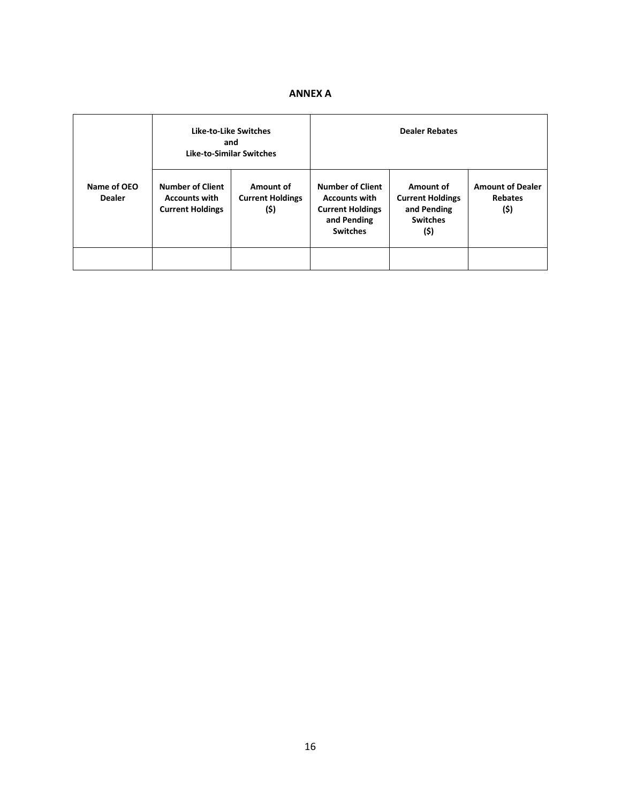# **ANNEX A**

|                              | Like-to-Like Switches<br>and<br><b>Like-to-Similar Switches</b>            |                                              | <b>Dealer Rebates</b>                                                                                        |                                                                                |                                                   |
|------------------------------|----------------------------------------------------------------------------|----------------------------------------------|--------------------------------------------------------------------------------------------------------------|--------------------------------------------------------------------------------|---------------------------------------------------|
| Name of OEO<br><b>Dealer</b> | <b>Number of Client</b><br><b>Accounts with</b><br><b>Current Holdings</b> | Amount of<br><b>Current Holdings</b><br>(\$) | <b>Number of Client</b><br><b>Accounts with</b><br><b>Current Holdings</b><br>and Pending<br><b>Switches</b> | Amount of<br><b>Current Holdings</b><br>and Pending<br><b>Switches</b><br>(\$) | <b>Amount of Dealer</b><br><b>Rebates</b><br>(\$) |
|                              |                                                                            |                                              |                                                                                                              |                                                                                |                                                   |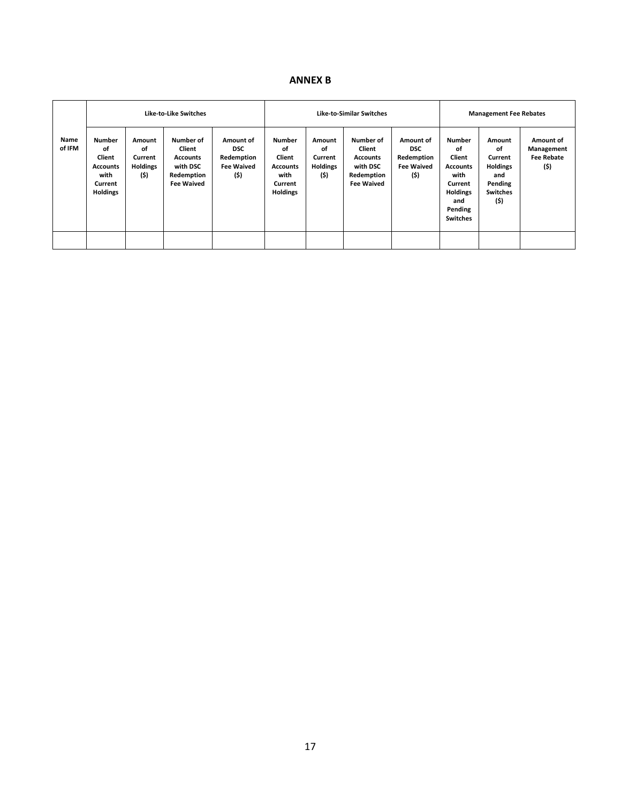### **ANNEX B**

|                | <b>Like-to-Like Switches</b>                                                           |                                                    | <b>Like-to-Similar Switches</b>                                                       |                                                                    |                                                                                        | <b>Management Fee Rebates</b>                      |                                                                                       |                                                                    |                                                                                                                             |                                                                                         |                                                      |
|----------------|----------------------------------------------------------------------------------------|----------------------------------------------------|---------------------------------------------------------------------------------------|--------------------------------------------------------------------|----------------------------------------------------------------------------------------|----------------------------------------------------|---------------------------------------------------------------------------------------|--------------------------------------------------------------------|-----------------------------------------------------------------------------------------------------------------------------|-----------------------------------------------------------------------------------------|------------------------------------------------------|
| Name<br>of IFM | <b>Number</b><br>of<br>Client<br><b>Accounts</b><br>with<br>Current<br><b>Holdings</b> | Amount<br>of<br>Current<br><b>Holdings</b><br>(\$) | Number of<br>Client<br><b>Accounts</b><br>with DSC<br>Redemption<br><b>Fee Waived</b> | Amount of<br><b>DSC</b><br>Redemption<br><b>Fee Waived</b><br>(\$) | <b>Number</b><br>of<br>Client<br><b>Accounts</b><br>with<br>Current<br><b>Holdings</b> | Amount<br>of<br>Current<br><b>Holdings</b><br>(\$) | Number of<br>Client<br><b>Accounts</b><br>with DSC<br>Redemption<br><b>Fee Waived</b> | Amount of<br><b>DSC</b><br>Redemption<br><b>Fee Waived</b><br>(\$) | <b>Number</b><br>of<br>Client<br><b>Accounts</b><br>with<br>Current<br><b>Holdings</b><br>and<br>Pending<br><b>Switches</b> | Amount<br>of<br>Current<br><b>Holdings</b><br>and<br>Pending<br><b>Switches</b><br>(\$) | Amount of<br>Management<br><b>Fee Rebate</b><br>(\$) |
|                |                                                                                        |                                                    |                                                                                       |                                                                    |                                                                                        |                                                    |                                                                                       |                                                                    |                                                                                                                             |                                                                                         |                                                      |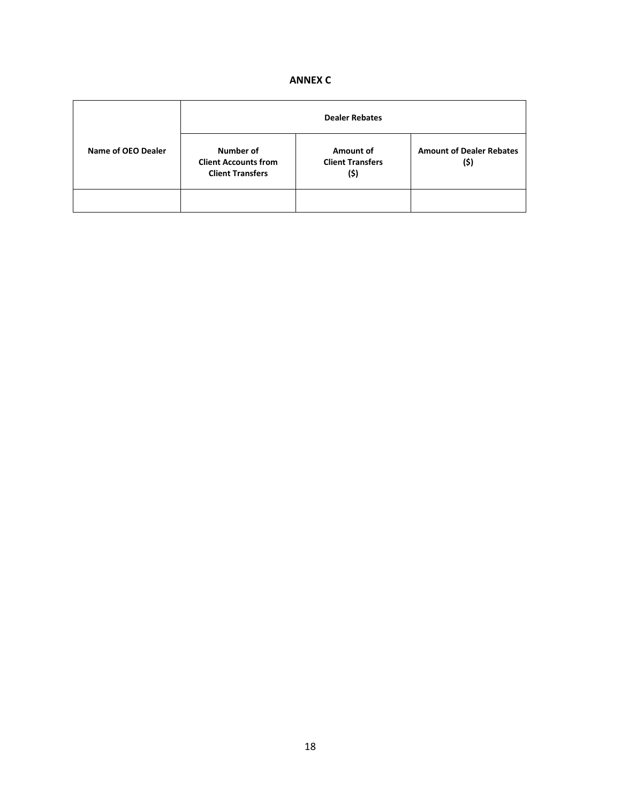|  |  | <b>ANNEX C</b> |  |
|--|--|----------------|--|
|--|--|----------------|--|

|                    | <b>Dealer Rebates</b>                                               |                                              |                                         |  |  |
|--------------------|---------------------------------------------------------------------|----------------------------------------------|-----------------------------------------|--|--|
| Name of OEO Dealer | Number of<br><b>Client Accounts from</b><br><b>Client Transfers</b> | Amount of<br><b>Client Transfers</b><br>(\$) | <b>Amount of Dealer Rebates</b><br>(\$) |  |  |
|                    |                                                                     |                                              |                                         |  |  |